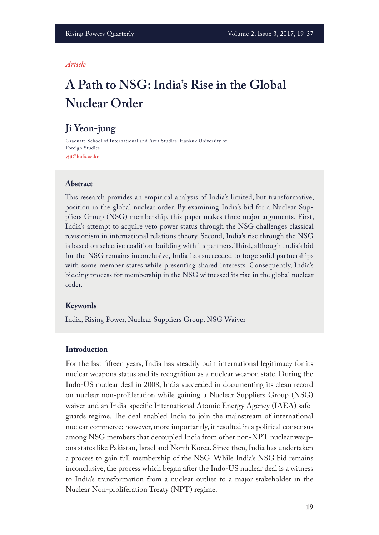#### *Article*

# **A Path to NSG: India's Rise in the Global Nuclear Order**

# **Ji Yeon-jung**

Graduate School of International and Area Studies, Hankuk University of Foreign Studies **yjji@hufs.ac.kr**

### **Abstract**

This research provides an empirical analysis of India's limited, but transformative, position in the global nuclear order. By examining India's bid for a Nuclear Suppliers Group (NSG) membership, this paper makes three major arguments. First, India's attempt to acquire veto power status through the NSG challenges classical revisionism in international relations theory. Second, India's rise through the NSG is based on selective coalition-building with its partners. Third, although India's bid for the NSG remains inconclusive, India has succeeded to forge solid partnerships with some member states while presenting shared interests. Consequently, India's bidding process for membership in the NSG witnessed its rise in the global nuclear order.

#### **Keywords**

India, Rising Power, Nuclear Suppliers Group, NSG Waiver

#### **Introduction**

For the last ffteen years, India has steadily built international legitimacy for its nuclear weapons status and its recognition as a nuclear weapon state. During the Indo-US nuclear deal in 2008, India succeeded in documenting its clean record on nuclear non-proliferation while gaining a Nuclear Suppliers Group (NSG) waiver and an India-specifc International Atomic Energy Agency (IAEA) safeguards regime. The deal enabled India to join the mainstream of international nuclear commerce; however, more importantly, it resulted in a political consensus among NSG members that decoupled India from other non-NPT nuclear weapons states like Pakistan, Israel and North Korea. Since then, India has undertaken a process to gain full membership of the NSG. While India's NSG bid remains inconclusive, the process which began after the Indo-US nuclear deal is a witness to India's transformation from a nuclear outlier to a major stakeholder in the Nuclear Non-proliferation Treaty (NPT) regime.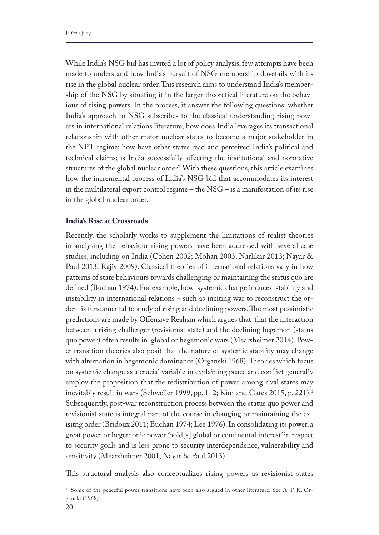While India's NSG bid has invited a lot of policy analysis, few attempts have been made to understand how India's pursuit of NSG membership dovetails with its rise in the global nuclear order. This research aims to understand India's membership of the NSG by situating it in the larger theoretical literature on the behaviour of rising powers. In the process, it answer the following questions: whether India's approach to NSG subscribes to the classical understanding rising powers in international relations literature; how does India leverages its transactional relationship with other major nuclear states to become a major stakeholder in the NPT regime; how have other states read and perceived India's political and technical claims; is India successfully afecting the institutional and normative structures of the global nuclear order? With these questions, this article examines how the incremental process of India's NSG bid that accommodates its interest in the multilateral export control regime – the NSG – is a manifestation of its rise in the global nuclear order.

#### **India's Rise at Crossroads**

Recently, the scholarly works to supplement the limitations of realist theories in analysing the behaviour rising powers have been addressed with several case studies, including on India (Cohen 2002; Mohan 2003; Narlikar 2013; Nayar & Paul 2013; Rajiv 2009). Classical theories of international relations vary in how patterns of state behaviours towards challenging or maintaining the status quo are defned (Buchan 1974). For example, how systemic change induces stability and instability in international relations – such as inciting war to reconstruct the order –is fundamental to study of rising and declining powers. The most pessimistic predictions are made by Ofensive Realism which argues that that the interaction between a rising challenger (revisionist state) and the declining hegemon (status quo power) often results in global or hegemonic wars (Mearsheimer 2014). Power transition theories also posit that the nature of systemic stability may change with alternation in hegemonic dominance (Organski 1968). Theories which focus on systemic change as a crucial variable in explaining peace and confict generally employ the proposition that the redistribution of power among rival states may inevitably result in wars (Schweller 1999, pp. 1–2; Kim and Gates 2015, p. 221).<sup>1</sup> Subsequently, post-war reconstruction process between the status quo power and revisionist state is integral part of the course in changing or maintaining the exisitng order (Bridoux 2011; Buchan 1974; Lee 1976). In consolidating its power, a great power or hegemonic power 'hold[s] global or continental interest' in respect to security goals and is less prone to security interdependence, vulnerability and sensitivity (Mearsheimer 2001; Nayar & Paul 2013).

Tis structural analysis also conceptualizes rising powers as revisionist states

<sup>&</sup>lt;sup>1</sup> Some of the peaceful power transitions have been also argued in other literature. See A. F. K. Organski (1968)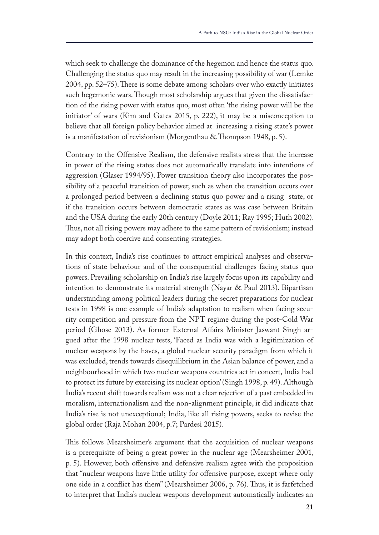which seek to challenge the dominance of the hegemon and hence the status quo. Challenging the status quo may result in the increasing possibility of war (Lemke 2004, pp. 52–75). There is some debate among scholars over who exactly initiates such hegemonic wars. Though most scholarship argues that given the dissatisfaction of the rising power with status quo, most often 'the rising power will be the initiator' of wars (Kim and Gates 2015, p. 222), it may be a misconception to believe that all foreign policy behavior aimed at increasing a rising state's power is a manifestation of revisionism (Morgenthau  $&$  Thompson 1948, p. 5).

Contrary to the Ofensive Realism, the defensive realists stress that the increase in power of the rising states does not automatically translate into intentions of aggression (Glaser 1994/95). Power transition theory also incorporates the possibility of a peaceful transition of power, such as when the transition occurs over a prolonged period between a declining status quo power and a rising state, or if the transition occurs between democratic states as was case between Britain and the USA during the early 20th century (Doyle 2011; Ray 1995; Huth 2002). Thus, not all rising powers may adhere to the same pattern of revisionism; instead may adopt both coercive and consenting strategies.

In this context, India's rise continues to attract empirical analyses and observations of state behaviour and of the consequential challenges facing status quo powers. Prevailing scholarship on India's rise largely focus upon its capability and intention to demonstrate its material strength (Nayar & Paul 2013). Bipartisan understanding among political leaders during the secret preparations for nuclear tests in 1998 is one example of India's adaptation to realism when facing security competition and pressure from the NPT regime during the post-Cold War period (Ghose 2013). As former External Afairs Minister Jaswant Singh argued after the 1998 nuclear tests, 'Faced as India was with a legitimization of nuclear weapons by the haves, a global nuclear security paradigm from which it was excluded, trends towards disequilibrium in the Asian balance of power, and a neighbourhood in which two nuclear weapons countries act in concert, India had to protect its future by exercising its nuclear option' (Singh 1998, p. 49). Although India's recent shift towards realism was not a clear rejection of a past embedded in moralism, internationalism and the non-alignment principle, it did indicate that India's rise is not unexceptional; India, like all rising powers, seeks to revise the global order (Raja Mohan 2004, p.7; Pardesi 2015).

Tis follows Mearsheimer's argument that the acquisition of nuclear weapons is a prerequisite of being a great power in the nuclear age (Mearsheimer 2001, p. 5). However, both ofensive and defensive realism agree with the proposition that "nuclear weapons have little utility for ofensive purpose, except where only one side in a confict has them" (Mearsheimer 2006, p. 76). Tus, it is farfetched to interpret that India's nuclear weapons development automatically indicates an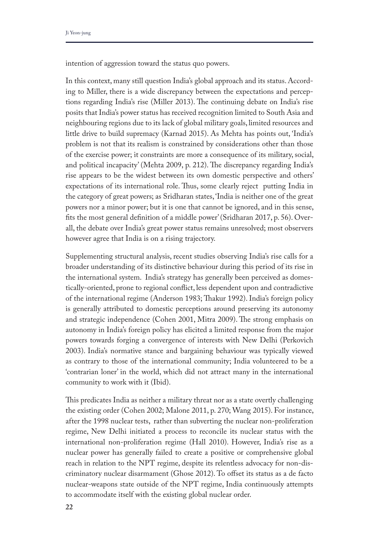intention of aggression toward the status quo powers.

In this context, many still question India's global approach and its status. According to Miller, there is a wide discrepancy between the expectations and perceptions regarding India's rise (Miller 2013). The continuing debate on India's rise posits that India's power status has received recognition limited to South Asia and neighbouring regions due to its lack of global military goals, limited resources and little drive to build supremacy (Karnad 2015). As Mehta has points out, 'India's problem is not that its realism is constrained by considerations other than those of the exercise power; it constraints are more a consequence of its military, social, and political incapacity' (Mehta 2009, p. 212). The discrepancy regarding India's rise appears to be the widest between its own domestic perspective and others' expectations of its international role. Thus, some clearly reject putting India in the category of great powers; as Sridharan states, 'India is neither one of the great powers nor a minor power; but it is one that cannot be ignored, and in this sense, fts the most general defnition of a middle power' (Sridharan 2017, p. 56). Overall, the debate over India's great power status remains unresolved; most observers however agree that India is on a rising trajectory.

Supplementing structural analysis, recent studies observing India's rise calls for a broader understanding of its distinctive behaviour during this period of its rise in the international system. India's strategy has generally been perceived as domestically-oriented, prone to regional confict, less dependent upon and contradictive of the international regime (Anderson 1983; Takur 1992). India's foreign policy is generally attributed to domestic perceptions around preserving its autonomy and strategic independence (Cohen 2001, Mitra 2009). The strong emphasis on autonomy in India's foreign policy has elicited a limited response from the major powers towards forging a convergence of interests with New Delhi (Perkovich 2003). India's normative stance and bargaining behaviour was typically viewed as contrary to those of the international community; India volunteered to be a 'contrarian loner' in the world, which did not attract many in the international community to work with it (Ibid).

This predicates India as neither a military threat nor as a state overtly challenging the existing order (Cohen 2002; Malone 2011, p. 270; Wang 2015). For instance, after the 1998 nuclear tests, rather than subverting the nuclear non-proliferation regime, New Delhi initiated a process to reconcile its nuclear status with the international non-proliferation regime (Hall 2010). However, India's rise as a nuclear power has generally failed to create a positive or comprehensive global reach in relation to the NPT regime, despite its relentless advocacy for non-discriminatory nuclear disarmament (Ghose 2012). To ofset its status as a de facto nuclear-weapons state outside of the NPT regime, India continuously attempts to accommodate itself with the existing global nuclear order.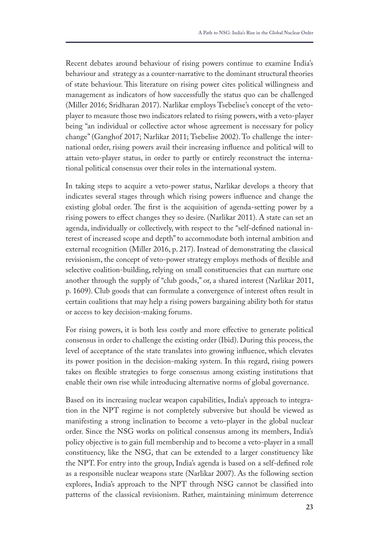Recent debates around behaviour of rising powers continue to examine India's behaviour and strategy as a counter-narrative to the dominant structural theories of state behaviour. This literature on rising power cites political willingness and management as indicators of how successfully the status quo can be challenged (Miller 2016; Sridharan 2017). Narlikar employs Tsebelise's concept of the vetoplayer to measure those two indicators related to rising powers, with a veto-player being "an individual or collective actor whose agreement is necessary for policy change" (Ganghof 2017; Narlikar 2011; Tsebelise 2002). To challenge the international order, rising powers avail their increasing infuence and political will to attain veto-player status, in order to partly or entirely reconstruct the international political consensus over their roles in the international system.

In taking steps to acquire a veto-power status, Narlikar develops a theory that indicates several stages through which rising powers infuence and change the existing global order. The first is the acquisition of agenda-setting power by a rising powers to efect changes they so desire. (Narlikar 2011). A state can set an agenda, individually or collectively, with respect to the "self-defned national interest of increased scope and depth" to accommodate both internal ambition and external recognition (Miller 2016, p. 217). Instead of demonstrating the classical revisionism, the concept of veto-power strategy employs methods of fexible and selective coalition-building, relying on small constituencies that can nurture one another through the supply of "club goods," or, a shared interest (Narlikar 2011, p. 1609). Club goods that can formulate a convergence of interest often result in certain coalitions that may help a rising powers bargaining ability both for status or access to key decision-making forums.

For rising powers, it is both less costly and more efective to generate political consensus in order to challenge the existing order (Ibid). During this process, the level of acceptance of the state translates into growing infuence, which elevates its power position in the decision-making system. In this regard, rising powers takes on fexible strategies to forge consensus among existing institutions that enable their own rise while introducing alternative norms of global governance.

Based on its increasing nuclear weapon capabilities, India's approach to integration in the NPT regime is not completely subversive but should be viewed as manifesting a strong inclination to become a veto-player in the global nuclear order. Since the NSG works on political consensus among its members, India's policy objective is to gain full membership and to become a veto-player in a small constituency, like the NSG, that can be extended to a larger constituency like the NPT. For entry into the group, India's agenda is based on a self-defned role as a responsible nuclear weapons state (Narlikar 2007). As the following section explores, India's approach to the NPT through NSG cannot be classifed into patterns of the classical revisionism. Rather, maintaining minimum deterrence

**23**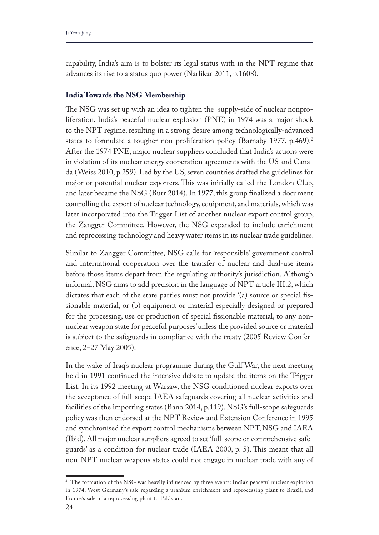capability, India's aim is to bolster its legal status with in the NPT regime that advances its rise to a status quo power (Narlikar 2011, p.1608).

## **India Towards the NSG Membership**

The NSG was set up with an idea to tighten the supply-side of nuclear nonproliferation. India's peaceful nuclear explosion (PNE) in 1974 was a major shock to the NPT regime, resulting in a strong desire among technologically-advanced states to formulate a tougher non-proliferation policy (Barnaby 1977, p.469).<sup>2</sup> After the 1974 PNE, major nuclear suppliers concluded that India's actions were in violation of its nuclear energy cooperation agreements with the US and Canada (Weiss 2010, p.259). Led by the US, seven countries drafted the guidelines for major or potential nuclear exporters. This was initially called the London Club, and later became the NSG (Burr 2014). In 1977, this group fnalized a document controlling the export of nuclear technology, equipment, and materials, which was later incorporated into the Trigger List of another nuclear export control group, the Zangger Committee. However, the NSG expanded to include enrichment and reprocessing technology and heavy water items in its nuclear trade guidelines.

Similar to Zangger Committee, NSG calls for 'responsible' government control and international cooperation over the transfer of nuclear and dual-use items before those items depart from the regulating authority's jurisdiction. Although informal, NSG aims to add precision in the language of NPT article III.2, which dictates that each of the state parties must not provide '(a) source or special fssionable material, or (b) equipment or material especially designed or prepared for the processing, use or production of special fssionable material, to any nonnuclear weapon state for peaceful purposes' unless the provided source or material is subject to the safeguards in compliance with the treaty (2005 Review Conference, 2–27 May 2005).

In the wake of Iraq's nuclear programme during the Gulf War, the next meeting held in 1991 continued the intensive debate to update the items on the Trigger List. In its 1992 meeting at Warsaw, the NSG conditioned nuclear exports over the acceptance of full-scope IAEA safeguards covering all nuclear activities and facilities of the importing states (Bano 2014, p.119). NSG's full-scope safeguards policy was then endorsed at the NPT Review and Extension Conference in 1995 and synchronised the export control mechanisms between NPT, NSG and IAEA (Ibid). All major nuclear suppliers agreed to set 'full-scope or comprehensive safeguards' as a condition for nuclear trade (IAEA 2000, p. 5). Tis meant that all non-NPT nuclear weapons states could not engage in nuclear trade with any of

<sup>&</sup>lt;sup>2</sup> The formation of the NSG was heavily influenced by three events: India's peaceful nuclear explosion in 1974, West Germany's sale regarding a uranium enrichment and reprocessing plant to Brazil, and France's sale of a reprocessing plant to Pakistan.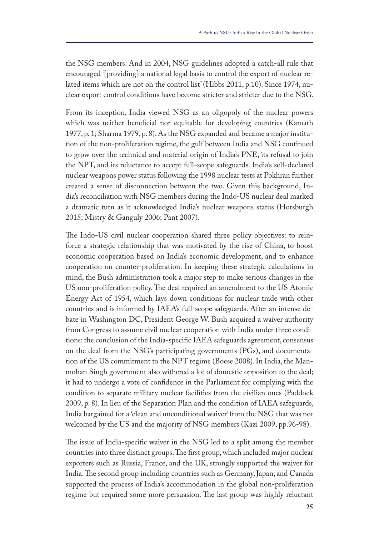the NSG members. And in 2004, NSG guidelines adopted a catch-all rule that encouraged '[providing] a national legal basis to control the export of nuclear related items which are not on the control list' (Hibbs 2011, p.10). Since 1974, nuclear export control conditions have become stricter and stricter due to the NSG.

From its inception, India viewed NSG as an oligopoly of the nuclear powers which was neither beneficial nor equitable for developing countries (Kamath 1977, p. 1; Sharma 1979, p. 8). As the NSG expanded and became a major institution of the non-proliferation regime, the gulf between India and NSG continued to grow over the technical and material origin of India's PNE, its refusal to join the NPT, and its reluctance to accept full-scope safeguards. India's self-declared nuclear weapons power status following the 1998 nuclear tests at Pokhran further created a sense of disconnection between the two. Given this background, India's reconciliation with NSG members during the Indo-US nuclear deal marked a dramatic turn as it acknowledged India's nuclear weapons status (Horsburgh 2015; Mistry & Ganguly 2006; Pant 2007).

The Indo-US civil nuclear cooperation shared three policy objectives: to reinforce a strategic relationship that was motivated by the rise of China, to boost economic cooperation based on India's economic development, and to enhance cooperation on counter-proliferation. In keeping these strategic calculations in mind, the Bush administration took a major step to make serious changes in the US non-proliferation policy. The deal required an amendment to the US Atomic Energy Act of 1954, which lays down conditions for nuclear trade with other countries and is informed by IAEA's full-scope safeguards. After an intense debate in Washington DC, President George W. Bush acquired a waiver authority from Congress to assume civil nuclear cooperation with India under three conditions: the conclusion of the India-specifc IAEA safeguards agreement, consensus on the deal from the NSG's participating governments (PGs), and documentation of the US commitment to the NPT regime (Boese 2008). In India, the Manmohan Singh government also withered a lot of domestic opposition to the deal; it had to undergo a vote of confdence in the Parliament for complying with the condition to separate military nuclear facilities from the civilian ones (Paddock 2009, p. 8). In lieu of the Separation Plan and the condition of IAEA safeguards, India bargained for a 'clean and unconditional waiver' from the NSG that was not welcomed by the US and the majority of NSG members (Kazi 2009, pp.96-98).

The issue of India-specific waiver in the NSG led to a split among the member countries into three distinct groups. The first group, which included major nuclear exporters such as Russia, France, and the UK, strongly supported the waiver for India. The second group including countries such as Germany, Japan, and Canada supported the process of India's accommodation in the global non-proliferation regime but required some more persuasion. The last group was highly reluctant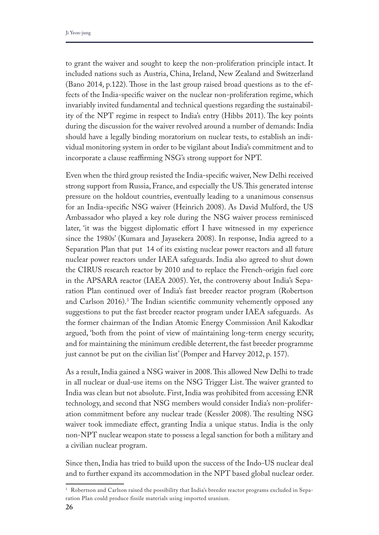to grant the waiver and sought to keep the non-proliferation principle intact. It included nations such as Austria, China, Ireland, New Zealand and Switzerland (Bano 2014, p.122). Tose in the last group raised broad questions as to the effects of the India-specifc waiver on the nuclear non-proliferation regime, which invariably invited fundamental and technical questions regarding the sustainability of the NPT regime in respect to India's entry (Hibbs 2011). The key points during the discussion for the waiver revolved around a number of demands: India should have a legally binding moratorium on nuclear tests, to establish an individual monitoring system in order to be vigilant about India's commitment and to incorporate a clause reaffirming NSG's strong support for NPT.

Even when the third group resisted the India-specifc waiver, New Delhi received strong support from Russia, France, and especially the US. This generated intense pressure on the holdout countries, eventually leading to a unanimous consensus for an India-specifc NSG waiver (Heinrich 2008). As David Mulford, the US Ambassador who played a key role during the NSG waiver process reminisced later, 'it was the biggest diplomatic effort I have witnessed in my experience since the 1980s' (Kumara and Jayasekera 2008). In response, India agreed to a Separation Plan that put 14 of its existing nuclear power reactors and all future nuclear power reactors under IAEA safeguards. India also agreed to shut down the CIRUS research reactor by 2010 and to replace the French-origin fuel core in the APSARA reactor (IAEA 2005). Yet, the controversy about India's Separation Plan continued over of India's fast breeder reactor program (Robertson and Carlson  $2016$ .<sup>3</sup> The Indian scientific community vehemently opposed any suggestions to put the fast breeder reactor program under IAEA safeguards. As the former chairman of the Indian Atomic Energy Commission Anil Kakodkar argued, 'both from the point of view of maintaining long-term energy security, and for maintaining the minimum credible deterrent, the fast breeder programme just cannot be put on the civilian list' (Pomper and Harvey 2012, p. 157).

As a result, India gained a NSG waiver in 2008. This allowed New Delhi to trade in all nuclear or dual-use items on the NSG Trigger List. The waiver granted to India was clean but not absolute. First, India was prohibited from accessing ENR technology, and second that NSG members would consider India's non-proliferation commitment before any nuclear trade (Kessler 2008). The resulting NSG waiver took immediate efect, granting India a unique status. India is the only non-NPT nuclear weapon state to possess a legal sanction for both a military and a civilian nuclear program.

Since then, India has tried to build upon the success of the Indo-US nuclear deal and to further expand its accommodation in the NPT based global nuclear order.

<sup>&</sup>lt;sup>3</sup> Robertson and Carlson raised the possibility that India's breeder reactor programs excluded in Separation Plan could produce fissile materials using imported uranium.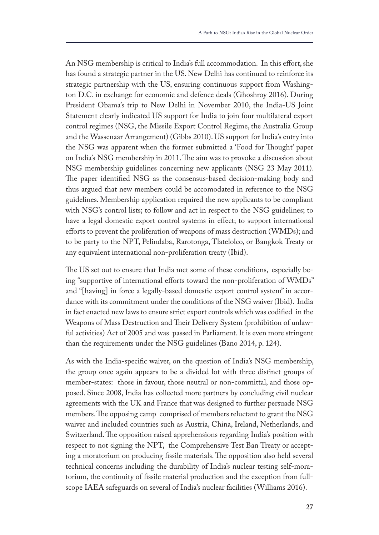An NSG membership is critical to India's full accommodation. In this effort, she has found a strategic partner in the US. New Delhi has continued to reinforce its strategic partnership with the US, ensuring continuous support from Washington D.C. in exchange for economic and defence deals (Ghoshroy 2016). During President Obama's trip to New Delhi in November 2010, the India-US Joint Statement clearly indicated US support for India to join four multilateral export control regimes (NSG, the Missile Export Control Regime, the Australia Group and the Wassenaar Arrangement) (Gibbs 2010). US support for India's entry into the NSG was apparent when the former submitted a 'Food for Thought' paper on India's NSG membership in 2011. The aim was to provoke a discussion about NSG membership guidelines concerning new applicants (NSG 23 May 2011). The paper identified NSG as the consensus-based decision-making body and thus argued that new members could be accomodated in reference to the NSG guidelines. Membership application required the new applicants to be compliant with NSG's control lists; to follow and act in respect to the NSG guidelines; to have a legal domestic export control systems in effect; to support international eforts to prevent the proliferation of weapons of mass destruction (WMDs); and to be party to the NPT, Pelindaba, Rarotonga, Tlatelolco, or Bangkok Treaty or any equivalent international non-proliferation treaty (Ibid).

The US set out to ensure that India met some of these conditions, especially being "supportive of international efforts toward the non-proliferation of WMDs" and "[having] in force a legally-based domestic export control system" in accordance with its commitment under the conditions of the NSG waiver (Ibid). India in fact enacted new laws to ensure strict export controls which was codifed in the Weapons of Mass Destruction and Their Delivery System (prohibition of unlawful activities) Act of 2005 and was passed in Parliament. It is even more stringent than the requirements under the NSG guidelines (Bano 2014, p. 124).

As with the India-specifc waiver, on the question of India's NSG membership, the group once again appears to be a divided lot with three distinct groups of member-states: those in favour, those neutral or non-committal, and those opposed. Since 2008, India has collected more partners by concluding civil nuclear agreements with the UK and France that was designed to further persuade NSG members. The opposing camp comprised of members reluctant to grant the NSG waiver and included countries such as Austria, China, Ireland, Netherlands, and Switzerland. The opposition raised apprehensions regarding India's position with respect to not signing the NPT, the Comprehensive Test Ban Treaty or accepting a moratorium on producing fissile materials. The opposition also held several technical concerns including the durability of India's nuclear testing self-moratorium, the continuity of fssile material production and the exception from fullscope IAEA safeguards on several of India's nuclear facilities (Williams 2016).

**27**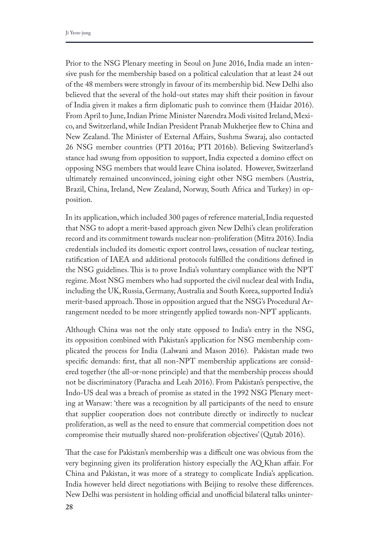Prior to the NSG Plenary meeting in Seoul on June 2016, India made an intensive push for the membership based on a political calculation that at least 24 out of the 48 members were strongly in favour of its membership bid. New Delhi also believed that the several of the hold-out states may shift their position in favour of India given it makes a frm diplomatic push to convince them (Haidar 2016). From April to June, Indian Prime Minister Narendra Modi visited Ireland, Mexico, and Switzerland, while Indian President Pranab Mukherjee few to China and New Zealand. The Minister of External Affairs, Sushma Swaraj, also contacted 26 NSG member countries (PTI 2016a; PTI 2016b). Believing Switzerland's stance had swung from opposition to support, India expected a domino efect on opposing NSG members that would leave China isolated. However, Switzerland ultimately remained unconvinced, joining eight other NSG members (Austria, Brazil, China, Ireland, New Zealand, Norway, South Africa and Turkey) in opposition.

In its application, which included 300 pages of reference material, India requested that NSG to adopt a merit-based approach given New Delhi's clean proliferation record and its commitment towards nuclear non-proliferation (Mitra 2016). India credentials included its domestic export control laws, cessation of nuclear testing, ratifcation of IAEA and additional protocols fulflled the conditions defned in the NSG guidelines. This is to prove India's voluntary compliance with the NPT regime. Most NSG members who had supported the civil nuclear deal with India, including the UK, Russia, Germany, Australia and South Korea, supported India's merit-based approach. Those in opposition argued that the NSG's Procedural Arrangement needed to be more stringently applied towards non-NPT applicants.

Although China was not the only state opposed to India's entry in the NSG, its opposition combined with Pakistan's application for NSG membership complicated the process for India (Lalwani and Mason 2016). Pakistan made two specifc demands: frst, that all non-NPT membership applications are considered together (the all-or-none principle) and that the membership process should not be discriminatory (Paracha and Leah 2016). From Pakistan's perspective, the Indo-US deal was a breach of promise as stated in the 1992 NSG Plenary meeting at Warsaw: 'there was a recognition by all participants of the need to ensure that supplier cooperation does not contribute directly or indirectly to nuclear proliferation, as well as the need to ensure that commercial competition does not compromise their mutually shared non-proliferation objectives' (Qutab 2016).

That the case for Pakistan's membership was a difficult one was obvious from the very beginning given its proliferation history especially the AQ Khan afair. For China and Pakistan, it was more of a strategy to complicate India's application. India however held direct negotiations with Beijing to resolve these diferences. New Delhi was persistent in holding official and unofficial bilateral talks uninter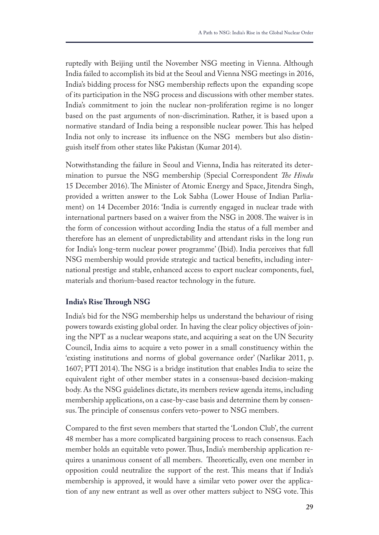ruptedly with Beijing until the November NSG meeting in Vienna. Although India failed to accomplish its bid at the Seoul and Vienna NSG meetings in 2016, India's bidding process for NSG membership refects upon the expanding scope of its participation in the NSG process and discussions with other member states. India's commitment to join the nuclear non-proliferation regime is no longer based on the past arguments of non-discrimination. Rather, it is based upon a normative standard of India being a responsible nuclear power. This has helped India not only to increase its infuence on the NSG members but also distinguish itself from other states like Pakistan (Kumar 2014).

Notwithstanding the failure in Seoul and Vienna, India has reiterated its determination to pursue the NSG membership (Special Correspondent *Te Hindu* 15 December 2016). The Minister of Atomic Energy and Space, Jitendra Singh, provided a written answer to the Lok Sabha (Lower House of Indian Parliament) on 14 December 2016: 'India is currently engaged in nuclear trade with international partners based on a waiver from the NSG in 2008. The waiver is in the form of concession without according India the status of a full member and therefore has an element of unpredictability and attendant risks in the long run for India's long-term nuclear power programme' (Ibid). India perceives that full NSG membership would provide strategic and tactical benefts, including international prestige and stable, enhanced access to export nuclear components, fuel, materials and thorium-based reactor technology in the future.

## **India's Rise Trough NSG**

India's bid for the NSG membership helps us understand the behaviour of rising powers towards existing global order. In having the clear policy objectives of joining the NPT as a nuclear weapons state, and acquiring a seat on the UN Security Council, India aims to acquire a veto power in a small constituency within the 'existing institutions and norms of global governance order' (Narlikar 2011, p. 1607; PTI 2014). The NSG is a bridge institution that enables India to seize the equivalent right of other member states in a consensus-based decision-making body. As the NSG guidelines dictate, its members review agenda items, including membership applications, on a case-by-case basis and determine them by consensus. The principle of consensus confers veto-power to NSG members.

Compared to the frst seven members that started the 'London Club', the current 48 member has a more complicated bargaining process to reach consensus. Each member holds an equitable veto power. Thus, India's membership application requires a unanimous consent of all members. Theoretically, even one member in opposition could neutralize the support of the rest. Tis means that if India's membership is approved, it would have a similar veto power over the application of any new entrant as well as over other matters subject to NSG vote. This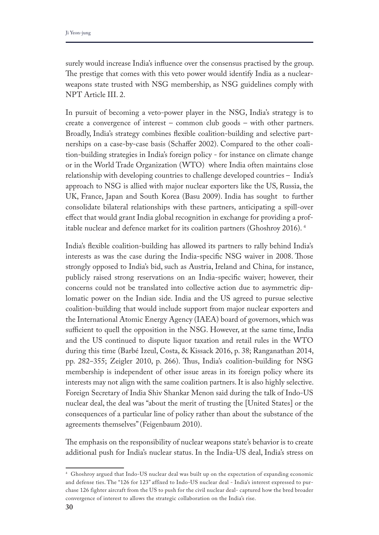surely would increase India's infuence over the consensus practised by the group. The prestige that comes with this veto power would identify India as a nuclearweapons state trusted with NSG membership, as NSG guidelines comply with NPT Article III. 2.

In pursuit of becoming a veto-power player in the NSG, India's strategy is to create a convergence of interest – common club goods – with other partners. Broadly, India's strategy combines fexible coalition-building and selective partnerships on a case-by-case basis (Schafer 2002). Compared to the other coalition-building strategies in India's foreign policy - for instance on climate change or in the World Trade Organization (WTO) where India often maintains close relationship with developing countries to challenge developed countries – India's approach to NSG is allied with major nuclear exporters like the US, Russia, the UK, France, Japan and South Korea (Basu 2009). India has sought to further consolidate bilateral relationships with these partners, anticipating a spill-over efect that would grant India global recognition in exchange for providing a profitable nuclear and defence market for its coalition partners (Ghoshroy 2016). 4

India's fexible coalition-building has allowed its partners to rally behind India's interests as was the case during the India-specific NSG waiver in 2008. Those strongly opposed to India's bid, such as Austria, Ireland and China, for instance, publicly raised strong reservations on an India-specifc waiver; however, their concerns could not be translated into collective action due to asymmetric diplomatic power on the Indian side. India and the US agreed to pursue selective coalition-building that would include support from major nuclear exporters and the International Atomic Energy Agency (IAEA) board of governors, which was sufficient to quell the opposition in the NSG. However, at the same time, India and the US continued to dispute liquor taxation and retail rules in the WTO during this time (Barbé Izeul, Costa, & Kissack 2016, p. 38; Ranganathan 2014, pp. 282–355; Zeigler 2010, p. 266). Thus, India's coalition-building for NSG membership is independent of other issue areas in its foreign policy where its interests may not align with the same coalition partners. It is also highly selective. Foreign Secretary of India Shiv Shankar Menon said during the talk of Indo-US nuclear deal, the deal was "about the merit of trusting the [United States] or the consequences of a particular line of policy rather than about the substance of the agreements themselves" (Feigenbaum 2010).

The emphasis on the responsibility of nuclear weapons state's behavior is to create additional push for India's nuclear status. In the India-US deal, India's stress on

<sup>4</sup> Ghoshroy argued that Indo-US nuclear deal was built up on the expectation of expanding economic and defense ties. The "126 for 123" affixed to Indo-US nuclear deal - India's interest expressed to purchase 126 fighter aircraft from the US to push for the civil nuclear deal- captured how the bred broader convergence of interest to allows the strategic collaboration on the India's rise.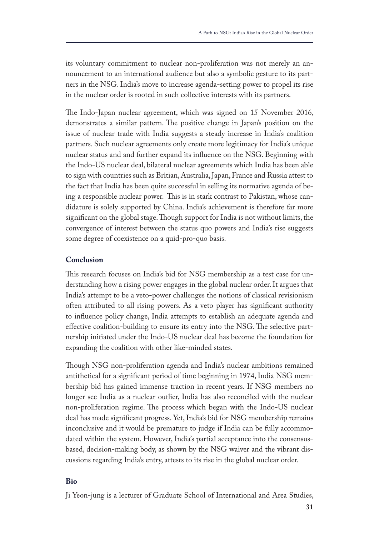its voluntary commitment to nuclear non-proliferation was not merely an announcement to an international audience but also a symbolic gesture to its partners in the NSG. India's move to increase agenda-setting power to propel its rise in the nuclear order is rooted in such collective interests with its partners.

The Indo-Japan nuclear agreement, which was signed on 15 November 2016, demonstrates a similar pattern. The positive change in Japan's position on the issue of nuclear trade with India suggests a steady increase in India's coalition partners. Such nuclear agreements only create more legitimacy for India's unique nuclear status and and further expand its infuence on the NSG. Beginning with the Indo-US nuclear deal, bilateral nuclear agreements which India has been able to sign with countries such as Britian, Australia, Japan, France and Russia attest to the fact that India has been quite successful in selling its normative agenda of being a responsible nuclear power. This is in stark contrast to Pakistan, whose candidature is solely supported by China. India's achievement is therefore far more significant on the global stage. Though support for India is not without limits, the convergence of interest between the status quo powers and India's rise suggests some degree of coexistence on a quid-pro-quo basis.

# **Conclusion**

This research focuses on India's bid for NSG membership as a test case for understanding how a rising power engages in the global nuclear order. It argues that India's attempt to be a veto-power challenges the notions of classical revisionism often attributed to all rising powers. As a veto player has signifcant authority to infuence policy change, India attempts to establish an adequate agenda and effective coalition-building to ensure its entry into the NSG. The selective partnership initiated under the Indo-US nuclear deal has become the foundation for expanding the coalition with other like-minded states.

Tough NSG non-proliferation agenda and India's nuclear ambitions remained antithetical for a signifcant period of time beginning in 1974, India NSG membership bid has gained immense traction in recent years. If NSG members no longer see India as a nuclear outlier, India has also reconciled with the nuclear non-proliferation regime. The process which began with the Indo-US nuclear deal has made signifcant progress. Yet, India's bid for NSG membership remains inconclusive and it would be premature to judge if India can be fully accommodated within the system. However, India's partial acceptance into the consensusbased, decision-making body, as shown by the NSG waiver and the vibrant discussions regarding India's entry, attests to its rise in the global nuclear order.

#### **Bio**

Ji Yeon-jung is a lecturer of Graduate School of International and Area Studies,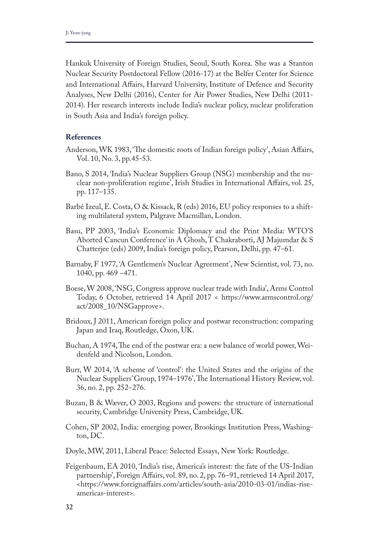Hankuk University of Foreign Studies, Seoul, South Korea. She was a Stanton Nuclear Security Postdoctoral Fellow (2016-17) at the Belfer Center for Science and International Afairs, Harvard University, Institute of Defence and Security Analyses, New Delhi (2016), Center for Air Power Studies, New Delhi (2011- 2014). Her research interests include India's nuclear policy, nuclear proliferation in South Asia and India's foreign policy.

#### **References**

- Anderson, WK 1983, 'The domestic roots of Indian foreign policy', Asian Affairs, Vol. 10, No. 3, pp.45-53.
- Bano, S 2014, 'India's Nuclear Suppliers Group (NSG) membership and the nuclear non-proliferation regime', Irish Studies in International Afairs, vol. 25, pp. 117-135.
- Barbé Izeul, E. Costa, O & Kissack, R (eds) 2016, EU policy responses to a shifting multilateral system, Palgrave Macmillan, London.
- Basu, PP 2003, 'India's Economic Diplomacy and the Print Media: WTO'S Aborted Cancun Conference' in A Ghosh, T Chakraborti, AJ Majumdar & S Chatterjee (eds) 2009, India's foreign policy, Pearson, Delhi, pp. 47-61.
- Barnaby, F 1977, 'A Gentlemen's Nuclear Agreement', New Scientist, vol. 73, no. 1040, pp. 469 ‒471.
- Boese, W 2008, 'NSG, Congress approve nuclear trade with India', Arms Control Today, 6 October, retrieved 14 April 2017 < https://www.armscontrol.org/ act/2008\_10/NSGapprove>.
- Bridoux, J 2011, American foreign policy and postwar reconstruction: comparing Japan and Iraq, Routledge, Oxon, UK.
- Buchan, A 1974, The end of the postwar era: a new balance of world power, Weidenfeld and Nicolson, London.
- Burr, W 2014, 'A scheme of 'control': the United States and the origins of the Nuclear Suppliers' Group, 1974–1976', The International History Review, vol. 36, no. 2, pp. 252‒276.
- Buzan, B & Wæver, O 2003, Regions and powers: the structure of international security, Cambridge University Press, Cambridge, UK.
- Cohen, SP 2002, India: emerging power, Brookings Institution Press, Washington, DC.
- Doyle, MW, 2011, Liberal Peace: Selected Essays, New York: Routledge.
- Feigenbaum, EA 2010, 'India's rise, America's interest: the fate of the US-Indian partnership', Foreign Affairs, vol. 89, no. 2, pp. 76-91, retrieved 14 April 2017, <https://www.foreignafairs.com/articles/south-asia/2010-03-01/indias-riseamericas-interest>.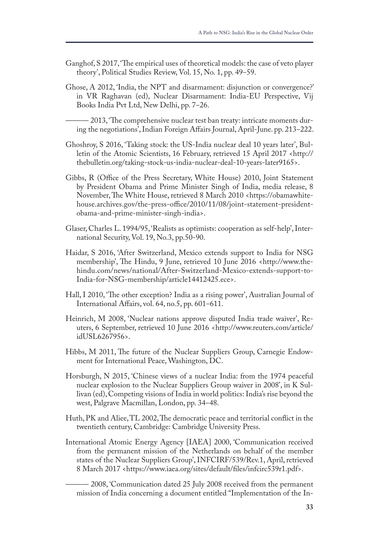- Ganghof, S 2017, 'The empirical uses of theoretical models: the case of veto player theory', Political Studies Review, Vol. 15, No. 1, pp. 49–59.
- Ghose, A 2012, 'India, the NPT and disarmament: disjunction or convergence?' in VR Raghavan (ed), Nuclear Disarmament: India-EU Perspective, Vij Books India Pvt Ltd, New Delhi, pp. 7–26.

– 2013, 'The comprehensive nuclear test ban treaty: intricate moments during the negotiations', Indian Foreign Affairs Journal, April-June. pp. 213–222.

- Ghoshroy, S 2016, 'Taking stock: the US-India nuclear deal 10 years later', Bulletin of the Atomic Scientists, 16 February, retrieved 15 April 2017 <http:// thebulletin.org/taking-stock-us-india-nuclear-deal-10-years-later9165>.
- Gibbs, R (Office of the Press Secretary, White House) 2010, Joint Statement by President Obama and Prime Minister Singh of India, media release, 8 November, The White House, retrieved 8 March 2010 <https://obamawhitehouse.archives.gov/the-press-office/2010/11/08/joint-statement-presidentobama-and-prime-minister-singh-india>.
- Glaser, Charles L. 1994/95, 'Realists as optimists: cooperation as self-help', International Security, Vol. 19, No.3, pp.50-90.
- Haidar, S 2016, 'After Switzerland, Mexico extends support to India for NSG membership', The Hindu, 9 June, retrieved 10 June 2016 <http://www.thehindu.com/news/national/After-Switzerland-Mexico-extends-support-to-India-for-NSG-membership/article14412425.ece>.
- Hall, I 2010, 'The other exception? India as a rising power', Australian Journal of International Affairs, vol. 64, no.5, pp. 601-611.
- Heinrich, M 2008, 'Nuclear nations approve disputed India trade waiver', Reuters, 6 September, retrieved 10 June 2016 <http://www.reuters.com/article/ idUSL6267956>.
- Hibbs, M 2011, The future of the Nuclear Suppliers Group, Carnegie Endowment for International Peace, Washington, DC.
- Horsburgh, N 2015, 'Chinese views of a nuclear India: from the 1974 peaceful nuclear explosion to the Nuclear Suppliers Group waiver in 2008', in K Sullivan (ed), Competing visions of India in world politics: India's rise beyond the west, Palgrave Macmillan, London, pp. 34–48.
- Huth, PK and Aliee, TL 2002, The democratic peace and territorial conflict in the twentieth century, Cambridge: Cambridge University Press.
- International Atomic Energy Agency [IAEA] 2000, 'Communication received from the permanent mission of the Netherlands on behalf of the member states of the Nuclear Suppliers Group', INFCIRF/539/Rev.1, April, retrieved 8 March 2017 <https://www.iaea.org/sites/default/fles/infcirc539r1.pdf>.

– 2008, 'Communication dated 25 July 2008 received from the permanent mission of India concerning a document entitled "Implementation of the In-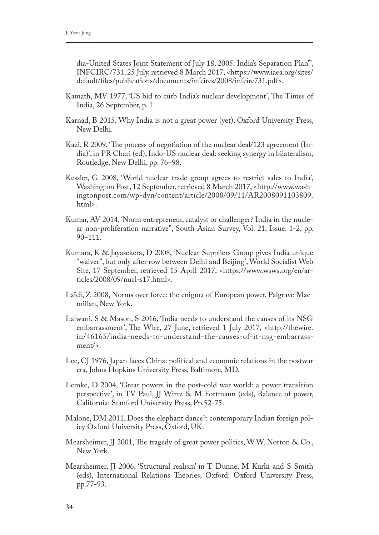dia-United States Joint Statement of July 18, 2005: India's Separation Plan"', INFCIRC/731, 25 July, retrieved 8 March 2017, <https://www.iaea.org/sites/ default/fles/publications/documents/infcircs/2008/infcirc731.pdf>.

- Kamath, MV 1977, 'US bid to curb India's nuclear development', The Times of India, 26 September, p. 1.
- Karnad, B 2015, Why India is not a great power (yet), Oxford University Press, New Delhi.
- Kazi, R 2009, 'The process of negotiation of the nuclear deal/123 agreement (India)', in PR Chari (ed), Indo-US nuclear deal: seeking synergy in bilateralism, Routledge, New Delhi, pp. 76–98.
- Kessler, G 2008, 'World nuclear trade group agrees to restrict sales to India', Washington Post, 12 September, retrieved 8 March 2017, <http://www.washingtonpost.com/wp-dyn/content/article/2008/09/11/AR2008091103809. html>.
- Kumar, AV 2014, 'Norm entrepreneur, catalyst or challenger? India in the nuclear non-proliferation narrative", South Asian Survey, Vol. 21, Issue. 1-2, pp. 90‒111.
- Kumara, K & Jayasekera, D 2008, 'Nuclear Suppliers Group gives India unique "waiver", but only after row between Delhi and Beijing', World Socialist Web Site, 17 September, retrieved 15 April 2017, <https://www.wsws.org/en/articles/2008/09/nucl-s17.html>.
- Laïdi, Z 2008, Norms over force: the enigma of European power, Palgrave Macmillan, New York.
- Lalwani, S & Mason, S 2016, 'India needs to understand the causes of its NSG embarrassment', The Wire, 27 June, retrieved 1 July 2017, <http://thewire. in/46165/india-needs-to-understand-the-causes-of-it-nsg-embarrassment/>.
- Lee, CJ 1976, Japan faces China: political and economic relations in the postwar era, Johns Hopkins University Press, Baltimore, MD.
- Lemke, D 2004, 'Great powers in the post-cold war world: a power transition perspective', in TV Paul, JJ Wirtz & M Fortmann (eds), Balance of power, California: Stanford University Press, Pp.52-75.
- Malone, DM 2011, Does the elephant dance?: contemporary Indian foreign policy Oxford University Press, Oxford, UK.
- Mearsheimer, JJ 2001, The tragedy of great power politics, W.W. Norton & Co., New York.
- Mearsheimer, JJ 2006, 'Structural realism' in T Dunne, M Kurki and S Smith (eds), International Relations Theories, Oxford: Oxford University Press, pp.77-93.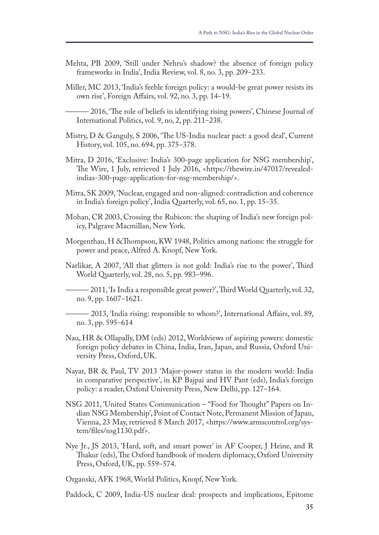- Mehta, PB 2009, 'Still under Nehru's shadow? the absence of foreign policy frameworks in India', India Review, vol. 8, no. 3, pp. 209–233.
- Miller, MC 2013, 'India's feeble foreign policy: a would-be great power resists its own rise', Foreign Afairs, vol. 92, no. 3, pp. 14‒19.

- 2016, The role of beliefs in identifying rising powers', Chinese Journal of International Politics, vol. 9, no, 2, pp. 211-238.

- Mistry, D & Ganguly, S 2006, 'The US-India nuclear pact: a good deal', Current History, vol. 105, no. 694, pp. 375-378.
- Mitra, D 2016, 'Exclusive: India's 300-page application for NSG membership', The Wire, 1 July, retrieved 1 July 2016, <https://thewire.in/47017/revealedindias-300-page-application-for-nsg-membership/>.
- Mitra, SK 2009, 'Nuclear, engaged and non-aligned: contradiction and coherence in India's foreign policy', India Quarterly, vol. 65, no. 1, pp. 15–35.
- Mohan, CR 2003, Crossing the Rubicon: the shaping of India's new foreign policy, Palgrave Macmillan, New York.
- Morgenthau, H &Thompson, KW 1948, Politics among nations: the struggle for power and peace, Alfred A. Knopf, New York.
- Narlikar, A 2007, 'All that glitters is not gold: India's rise to the power', Third World Quarterly, vol. 28, no. 5, pp. 983–996.
	- ——— 2011, 'Is India a responsible great power?', Tird World Quarterly, vol. 32, no. 9, pp. 1607–1621.

——— 2013, 'India rising: responsible to whom?', International Afairs, vol. 89, no. 3, pp. 595–614

- Nau, HR & Ollapally, DM (eds) 2012, Worldviews of aspiring powers: domestic foreign policy debates in China, India, Iran, Japan, and Russia, Oxford University Press, Oxford, UK.
- Nayar, BR & Paul, TV 2013 'Major-power status in the modern world: India in comparative perspective', in KP Bajpai and HV Pant (eds), India's foreign policy: a reader, Oxford University Press, New Delhi, pp. 127–164.
- NSG 2011, 'United States Communication "Food for Thought" Papers on Indian NSG Membership', Point of Contact Note, Permanent Mission of Japan, Vienna, 23 May, retrieved 8 March 2017, <https://www.armscontrol.org/system/fles/nsg1130.pdf>.
- Nye Jr., JS 2013, 'Hard, soft, and smart power' in AF Cooper, J Heine, and R Thakur (eds), The Oxford handbook of modern diplomacy, Oxford University Press, Oxford, UK, pp. 559-574.

Organski, AFK 1968, World Politics, Knopf, New York.

Paddock, C 2009, India-US nuclear deal: prospects and implications, Epitome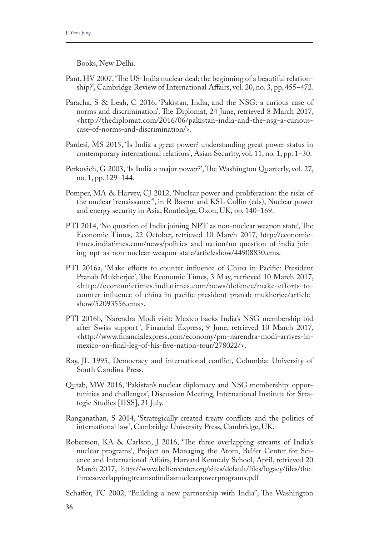Books, New Delhi.

- Pant, HV 2007, 'The US-India nuclear deal: the beginning of a beautiful relationship?', Cambridge Review of International Affairs, vol. 20, no. 3, pp. 455–472.
- Paracha, S & Leah, C 2016, 'Pakistan, India, and the NSG: a curious case of norms and discrimination', The Diplomat, 24 June, retrieved 8 March 2017, <http://thediplomat.com/2016/06/pakistan-india-and-the-nsg-a-curiouscase-of-norms-and-discrimination/>.
- Pardesi, MS 2015, 'Is India a great power? understanding great power status in contemporary international relations', Asian Security, vol. 11, no. 1, pp. 1‒30.
- Perkovich, G 2003, Is India a major power?', The Washington Quarterly, vol. 27, no. 1, pp. 129–144.
- Pomper, MA & Harvey, CJ 2012, 'Nuclear power and proliferation: the risks of the nuclear "renaissance"', in R Basrur and KSL Collin (eds), Nuclear power and energy security in Asia, Routledge, Oxon, UK, pp. 140–169.
- PTI 2014, 'No question of India joining NPT as non-nuclear weapon state', The Economic Times, 22 October, retrieved 10 March 2017, http://economictimes.indiatimes.com/news/politics-and-nation/no-question-of-india-joining-npt-as-non-nuclear-weapon-state/articleshow/44908830.cms.
- PTI 2016a, 'Make eforts to counter infuence of China in Pacifc: President Pranab Mukherjee', The Economic Times, 3 May, retrieved 10 March 2017, <http://economictimes.indiatimes.com/news/defence/make-efforts-tocounter-infuence-of-china-in-pacifc-president-pranab-mukherjee/articleshow/52093556.cms>.
- PTI 2016b, 'Narendra Modi visit: Mexico backs India's NSG membership bid after Swiss support", Financial Express, 9 June, retrieved 10 March 2017, <http://www.fnancialexpress.com/economy/pm-narendra-modi-arrives-inmexico-on-fnal-leg-of-his-fve-nation-tour/278022/>.
- Ray, JL 1995, Democracy and international confict, Columbia: University of South Carolina Press.
- Qutab, MW 2016, 'Pakistan's nuclear diplomacy and NSG membership: opportunities and challenges', Discussion Meeting, International Institute for Strategic Studies [IISS], 21 July.
- Ranganathan, S 2014, 'Strategically created treaty conficts and the politics of international law', Cambridge University Press, Cambridge, UK.
- Robertson, KA & Carlson, J 2016, 'The three overlapping streams of India's nuclear programs', Project on Managing the Atom, Belfer Center for Science and International Afairs, Harvard Kennedy School, April, retrieved 20 March 2017, http://www.belfercenter.org/sites/default/fles/legacy/fles/thethreesoverlappingtreamsofndiasnuclearpowerprograms.pdf
- Schaffer, TC 2002, "Building a new partnership with India", The Washington